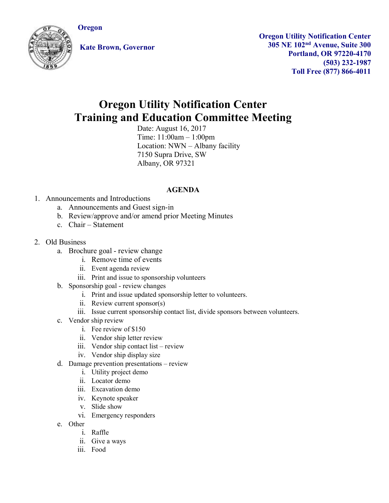**Oregon**



**Kate Brown, Governor**

**Oregon Utility Notification Center 305 NE 102nd Avenue, Suite 300 Portland, OR 97220-4170 (503) 232-1987 Toll Free (877) 866-4011**

## **Oregon Utility Notification Center Training and Education Committee Meeting**

Date: August 16, 2017 Time: 11:00am – 1:00pm Location: NWN – Albany facility 7150 Supra Drive, SW Albany, OR 97321

## **AGENDA**

- 1. Announcements and Introductions
	- a. Announcements and Guest sign-in
	- b. Review/approve and/or amend prior Meeting Minutes
	- c. Chair Statement
- 2. Old Business
	- a. Brochure goal review change
		- i. Remove time of events
			- ii. Event agenda review
			- iii. Print and issue to sponsorship volunteers
	- b. Sponsorship goal review changes
		- i. Print and issue updated sponsorship letter to volunteers.
		- ii. Review current sponsor(s)
		- iii. Issue current sponsorship contact list, divide sponsors between volunteers.
	- c. Vendor ship review
		- i. Fee review of \$150
		- ii. Vendor ship letter review
		- iii. Vendor ship contact list review
		- iv. Vendor ship display size
	- d. Damage prevention presentations review
		- i. Utility project demo
		- ii. Locator demo
		- iii. Excavation demo
		- iv. Keynote speaker
		- v. Slide show
		- vi. Emergency responders
	- e. Other
		- i. Raffle
		- ii. Give a ways
		- iii. Food